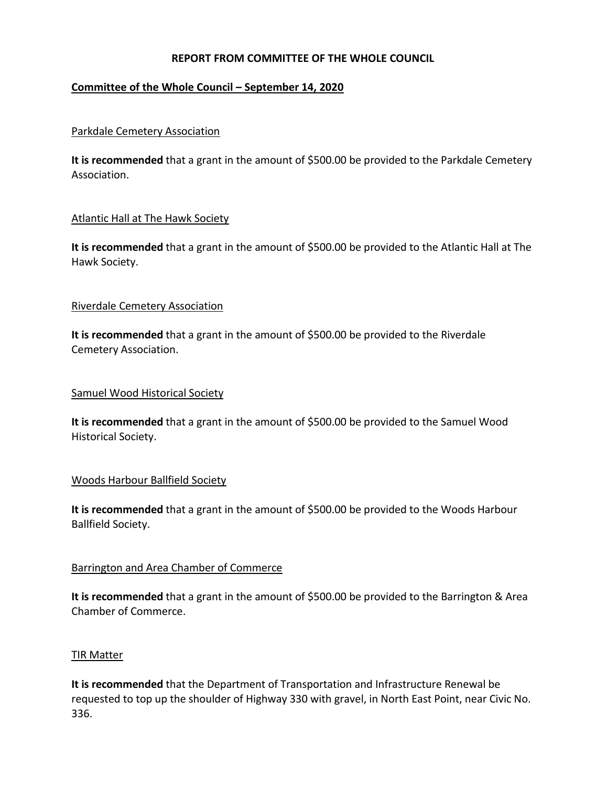# **REPORT FROM COMMITTEE OF THE WHOLE COUNCIL**

## **Committee of the Whole Council – September 14, 2020**

### Parkdale Cemetery Association

It is recommended that a grant in the amount of \$500.00 be provided to the Parkdale Cemetery Association.

#### Atlantic Hall at The Hawk Society

**It is recommended** that a grant in the amount of \$500.00 be provided to the Atlantic Hall at The Hawk Society.

#### Riverdale Cemetery Association

**It is recommended** that a grant in the amount of \$500.00 be provided to the Riverdale Cemetery Association.

#### Samuel Wood Historical Society

It is recommended that a grant in the amount of \$500.00 be provided to the Samuel Wood Historical Society.

## Woods Harbour Ballfield Society

It is recommended that a grant in the amount of \$500.00 be provided to the Woods Harbour Ballfield Society.

#### Barrington and Area Chamber of Commerce

It is recommended that a grant in the amount of \$500.00 be provided to the Barrington & Area Chamber of Commerce.

#### TIR Matter

**It is recommended** that the Department of Transportation and Infrastructure Renewal be requested to top up the shoulder of Highway 330 with gravel, in North East Point, near Civic No. 336.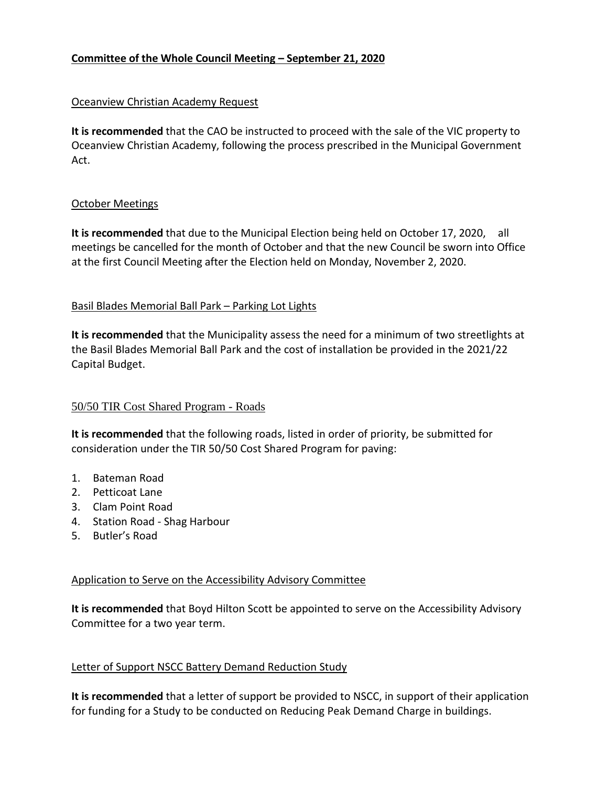# **Committee of the Whole Council Meeting – September 21, 2020**

## Oceanview Christian Academy Request

**It is recommended** that the CAO be instructed to proceed with the sale of the VIC property to Oceanview Christian Academy, following the process prescribed in the Municipal Government Act.

#### October Meetings

**It is recommended** that due to the Municipal Election being held on October 17, 2020, all meetings be cancelled for the month of October and that the new Council be sworn into Office at the first Council Meeting after the Election held on Monday, November 2, 2020.

## Basil Blades Memorial Ball Park – Parking Lot Lights

**It is recommended** that the Municipality assess the need for a minimum of two streetlights at the Basil Blades Memorial Ball Park and the cost of installation be provided in the 2021/22 Capital Budget.

## 50/50 TIR Cost Shared Program - Roads

**It is recommended** that the following roads, listed in order of priority, be submitted for consideration under the TIR 50/50 Cost Shared Program for paving:

- 1. Bateman Road
- 2. Petticoat Lane
- 3. Clam Point Road
- 4. Station Road Shag Harbour
- 5. Butler's Road

## Application to Serve on the Accessibility Advisory Committee

**It is recommended** that Boyd Hilton Scott be appointed to serve on the Accessibility Advisory Committee for a two year term.

# Letter of Support NSCC Battery Demand Reduction Study

**It is recommended** that a letter of support be provided to NSCC, in support of their application for funding for a Study to be conducted on Reducing Peak Demand Charge in buildings.